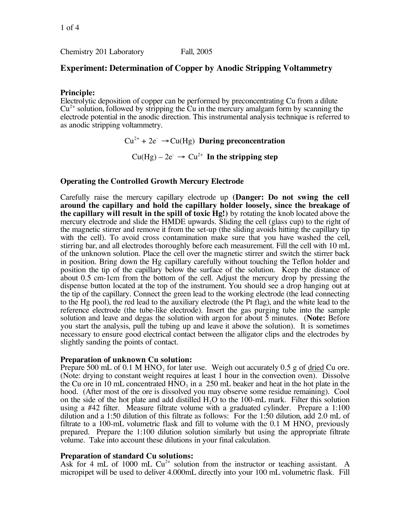Chemistry 201 Laboratory Fall, 2005

# **Experiment: Determination of Copper by Anodic Stripping Voltammetry**

## **Principle:**

Electrolytic deposition of copper can be performed by preconcentrating Cu from a dilute  $Cu^{2+}$  solution, followed by stripping the Cu in the mercury amalgam form by scanning the electrode potential in the anodic direction. This instrumental analysis technique is referred to as anodic stripping voltammetry.

> $Cu^{2+} + 2e^- \rightarrow Cu(Hg)$  **During preconcentration**  $Cu(Hg) - 2e^- \rightarrow Cu^{2+}$  In the stripping step

### **Operating the Controlled Growth Mercury Electrode**

Carefully raise the mercury capillary electrode up **(Danger: Do not swing the cell around the capillary and hold the capillary holder loosely, since the breakage of the capillary will result in the spill of toxic Hg!)** by rotating the knob located above the mercury electrode and slide the HMDE upwards. Sliding the cell (glass cup) to the right of the magnetic stirrer and remove it from the set-up (the sliding avoids hitting the capillary tip with the cell). To avoid cross contamination make sure that you have washed the cell, stirring bar, and all electrodes thoroughly before each measurement. Fill the cell with <sup>10</sup> mL of the unknown solution. Place the cell over the magnetic stirrer and switch the stirrer back in position. Bring down the Hg capillary carefully without touching the Teflon holder and position the tip of the capillary below the surface of the solution. Keep the distance of about 0.5 cm-1cm from the bottom of the cell. Adjust the mercury drop by pressing the dispense button located at the top of the instrument. You should see a drop hanging out at the tip of the capillary. Connect the green lead to the working electrode (the lead connecting to the Hg pool), the red lead to the auxiliary electrode (the Pt flag), and the white lead to the reference electrode (the tube-like electrode). Insert the gas purging tube into the sample solution and leave and degas the solution with argon for about 5 minutes. (**Note:** Before you start the analysis, pull the tubing up and leave it above the solution). It is sometimes necessary to ensure good electrical contact between the alligator clips and the electrodes by slightly sanding the points of contact.

### **Preparation of unknown Cu solution:**

Prepare 500 mL of 0.1 M  $HNO<sub>3</sub>$  for later use. Weigh out accurately 0.5 g of dried Cu ore. (Note: drying to constant weight requires at least 1 hour in the convection oven). Dissolve the Cu ore in 10 mL concentrated  $HNO<sub>3</sub>$  in a 250 mL beaker and heat in the hot plate in the hood. (After most of the ore is dissolved you may observe some residue remaining). Cool on the side of the hot plate and add distilled  $H<sub>2</sub>O$  to the 100-mL mark. Filter this solution using a #42 filter. Measure filtrate volume with a graduated cylinder. Prepare a 1:100 dilution and a 1:50 dilution of this filtrate as follows: For the 1:50 dilution, add 2.0 mL of filtrate to a 100-mL volumetric flask and fill to volume with the  $0.1 \text{ M HNO}_3$  previously prepared. Prepare the 1:100 dilution solution similarly but using the appropriate filtrate volume. Take into account these dilutions in your final calculation.

### **Preparation of standard Cu solutions:**

Ask for 4 mL of 1000 mL  $Cu^{2+}$  solution from the instructor or teaching assistant. A micropipet will be used to deliver 4.000mL directly into your 100 mL volumetric flask. Fill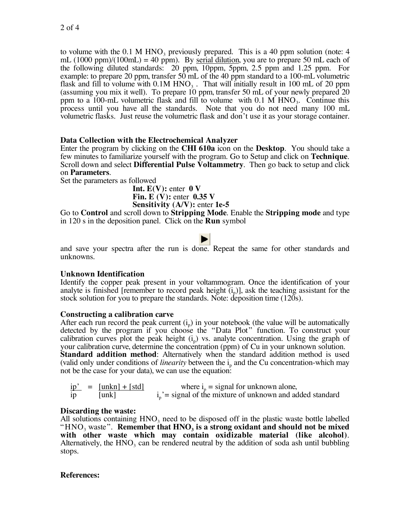to volume with the  $0.1$  M HNO<sub>3</sub> previously prepared. This is a 40 ppm solution (note: 4 mL  $(1000 \text{ ppm})/(100 \text{ mL}) = 40 \text{ ppm}$ . By serial dilution, you are to prepare 50 mL each of the following diluted standards: 20 ppm, 10ppm, 5ppm, 2.5 ppm and 1.25 ppm. For example: to prepare 20 ppm, transfer 50 mL of the 40 ppm standard to a 100-mL volumetric flask and fill to volume with  $0.1M HNO<sub>3</sub>$ . That will initially result in 100 mL of 20 ppm (assuming you mix it well). To prepare 10 ppm, transfer 50 mL of your newly prepared 20 ppm to a 100-mL volumetric flask and fill to volume with  $0.1 \text{ M HNO}_3$ . Continue this process until you have all the standards. Note that you do not need many 100 mL volumetric flasks. Just reuse the volumetric flask and don't use it as your storage container.

## **Data Collection with the Electrochemical Analyzer**

Enter the program by clicking on the **CHI 610a** icon on the **Desktop**. You should take a few minutes to familiarize yourself with the program. Go to Setup and click on **Technique**. Scroll down and select **Differential Pulse Voltammetry**. Then go back to setup and click on **Parameters**.

Set the parameters as followed

**Int.**  $E(V)$ : enter  $0 V$ **Fin. E (V):** enter **0.35 V Sensitivity (A/V):** enter **1e-5**

Go to **Control** and scroll down to **Stripping Mode**. Enable the **Stripping mode** and type in 120 s in the deposition panel. Click on the **Run** symbol

and save your spectra after the run is done. Repeat the same for other standards and unknowns.

## **Unknown Identification**

Identify the copper peak present in your voltammogram. Once the identification of your analyte is finished [remember to record peak height  $(i<sub>p</sub>)$ ], ask the teaching assistant for the stock solution for you to prepare the standards. Note: deposition time (120s).

### **Constructing a calibration carve**

After each run record the peak current  $(i<sub>p</sub>)$  in your notebook (the value will be automatically detected by the program if you choose the "Data Plot" function. To construct your calibration curves plot the peak height  $(i<sub>p</sub>)$  vs. analyte concentration. Using the graph of your calibration curve, determine the concentration (ppm) of Cu in your unknown solution. **Standard addition method**: Alternatively when the standard addition method is used (valid only under conditions of *linearity* between the i<sub>p</sub> and the Cu concentration-which may not be the case for your data), we can use the equation:

|                | $ip' = [unkn] + [std]$ | where $i_{n}$ = signal for unknown alone,                     |
|----------------|------------------------|---------------------------------------------------------------|
| 1 <sub>p</sub> | $\lceil$ unk $\rceil$  | $i_n$ ' = signal of the mixture of unknown and added standard |

**Discarding the waste:**<br>All solutions containing HNO<sub>2</sub> need to be disposed off in the plastic waste bottle labelled " $HNO<sub>3</sub>$  waste". Remember that  $HNO<sub>3</sub>$  is a strong oxidant and should not be mixed with other waste which may contain oxidizable material (like alcohol). Alternatively, the  $HNO<sub>3</sub>$  can be rendered neutral by the addition of soda ash until bubbling stops.

## **References:**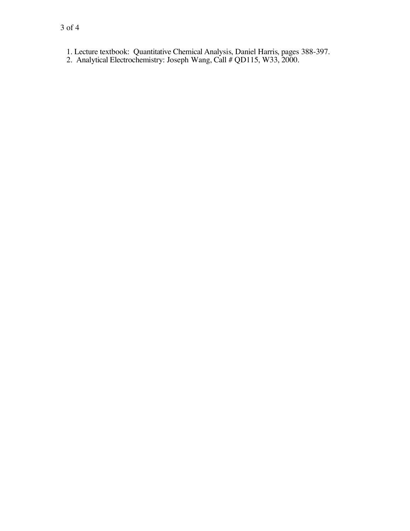2. Analytical Electrochemistry: Joseph Wang, Call # QD115, W33, 2000.